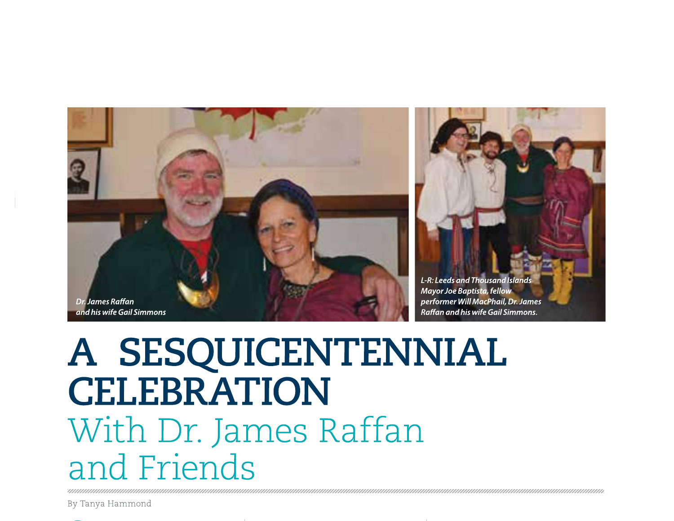

## A SESQUICENTENNIAL **CELEBRATION** With Dr. James Raffan and Friends